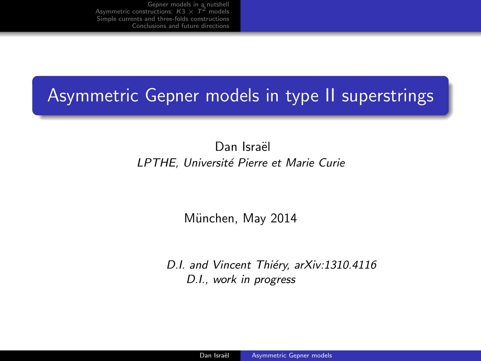## Asymmetric Gepner models in type II superstrings

Dan Israël LPTHE, Université Pierre et Marie Curie

München, May 2014

<span id="page-0-0"></span>D.I. and Vincent Thiéry, arXiv:1310.4116 D.I., work in progress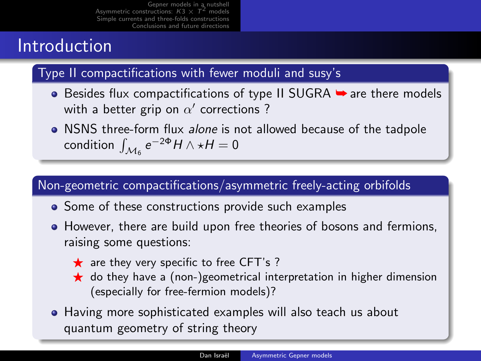## Introduction

#### Type II compactifications with fewer moduli and susy's

- $\bullet$  Besides flux compactifications of type II SUGRA  $\bullet$  are there models with a better grip on  $\alpha'$  corrections ?
- NSNS three-form flux alone is not allowed because of the tadpole condition  $\int_{\mathcal{M}_6} e^{-2\Phi} H \wedge \star H = 0$

#### Non-geometric compactifications/asymmetric freely-acting orbifolds

- Some of these constructions provide such examples
- However, there are build upon free theories of bosons and fermions, raising some questions:
	- $\star$  are they very specific to free CFT's ?
	- $\star$  do they have a (non-)geometrical interpretation in higher dimension (especially for free-fermion models)?
- Having more sophisticated examples will also teach us about quantum geometry of string theory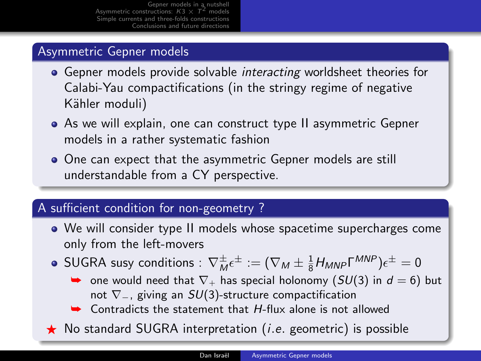#### Asymmetric Gepner models

- Gepner models provide solvable *interacting* worldsheet theories for Calabi-Yau compactifications (in the stringy regime of negative Kähler moduli)
- As we will explain, one can construct type II asymmetric Gepner models in a rather systematic fashion
- One can expect that the asymmetric Gepner models are still understandable from a CY perspective.

#### A sufficient condition for non-geometry ?

- We will consider type II models whose spacetime supercharges come only from the left-movers
- $\mathsf{SUGRA}$  susy conditions  $:\, \nabla^\pm_\mathsf{M} \epsilon^\pm := (\nabla_\mathsf{M} \pm \tfrac{1}{8} H_\mathsf{MNP} \mathsf{\Gamma}^{\mathsf{MNP}}) \epsilon^\pm = 0$ 
	- $\rightarrow$  one would need that  $\nabla_+$  has special holonomy (SU(3) in  $d = 6$ ) but not  $\nabla$ <sub>−</sub>, giving an *SU*(3)-structure compactification
	- $\cdot$  Contradicts the statement that  $H$ -flux alone is not allowed
- $\star$  No standard SUGRA interpretation (*i.e.* geometric) is possible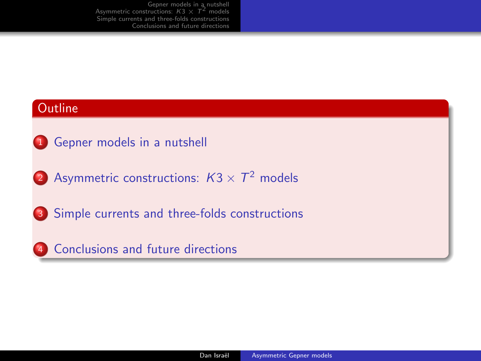#### **Outline**

- **1** [Gepner models in a nutshell](#page-4-0)
- 2 [Asymmetric constructions:](#page-9-0)  $K3 \times T^2$  models
- <sup>3</sup> [Simple currents and three-folds constructions](#page-15-0)
- <sup>4</sup> [Conclusions and future directions](#page-22-0)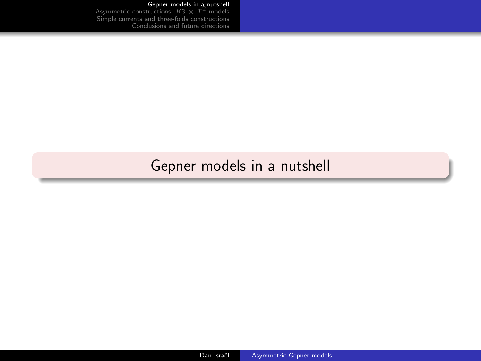### <span id="page-4-0"></span>[Gepner models in a nutshell](#page-4-0)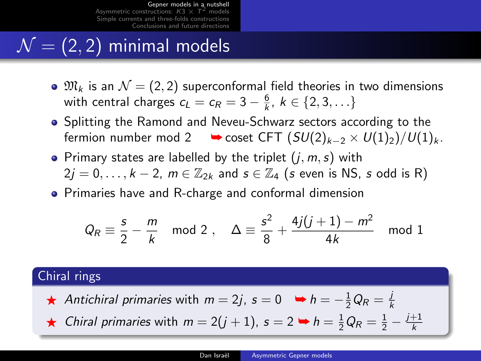# $\mathcal{N} = (2, 2)$  minimal models

- $\mathcal{M}_k$  is an  $\mathcal{N} = (2, 2)$  superconformal field theories in two dimensions with central charges  $c_L = c_R = 3 - \frac{6}{k}, k \in \{2, 3, \ldots\}$
- Splitting the Ramond and Neveu-Schwarz sectors according to the fermion number mod 2  $\longrightarrow$  coset CFT  $(SU(2)_{k-2} \times U(1)_2)/U(1)_k$ .
- Primary states are labelled by the triplet  $(j, m, s)$  with  $2j = 0, \ldots, k - 2, m \in \mathbb{Z}_{2k}$  and  $s \in \mathbb{Z}_{4}$  (s even is NS, s odd is R)
- **•** Primaries have and R-charge and conformal dimension

$$
Q_R \equiv \frac{s}{2} - \frac{m}{k} \mod 2 \ , \quad \Delta \equiv \frac{s^2}{8} + \frac{4j(j+1) - m^2}{4k} \mod 1
$$

#### Chiral rings

- ★ Antichiral primaries with  $m=2j$ ,  $s=0$   $\Rightarrow h=-\frac{1}{2}Q_R=\frac{j}{k}$
- ★ Chiral primaries with  $m = 2(j + 1)$ ,  $s = 2 \rightarrow h = \frac{1}{2}Q_R = \frac{1}{2} \frac{j+1}{k}$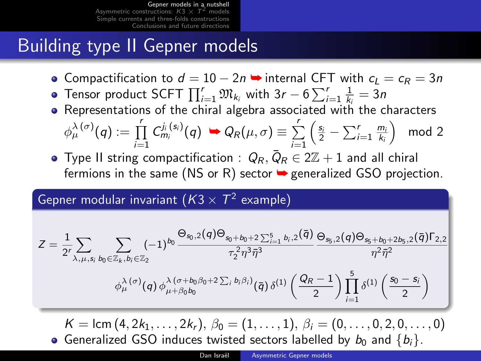# Building type II Gepner models

- Compactification to  $d = 10 2n$   $\rightarrow$  internal CFT with  $c_1 = c_R = 3n$
- Tensor product SCFT  $\prod_{i=1}^{r} \mathfrak{M}_{k_i}$  with  $3r 6\sum_{i=1}^{r} \frac{1}{k_i} = 3n$
- Representations of the chiral algebra associated with the characters

$$
\phi^{\lambda(\sigma)}_{\mu}(q) := \prod_{i=1}^r C^{j_i(s_i)}_{m_i}(q) \rightarrow Q_R(\mu, \sigma) \equiv \sum_{i=1}^r \left(\frac{s_i}{2} - \sum_{i=1}^r \frac{m_i}{k_i}\right) \mod 2
$$

Type II string compactification  $\colon\thinspace Q_R,\bar Q_R\in 2\mathbb Z+1$  and all chiral fermions in the same (NS or R) sector  $\rightarrow$  generalized GSO projection.

#### Gepner modular invariant  $(\mathcal{K}3 \times \mathcal{T}^{2}$  example)

$$
Z = \frac{1}{2^r} \sum_{\lambda,\mu,s_i} \sum_{b_0 \in \mathbb{Z}_k, b_i \in \mathbb{Z}_2} (-1)^{b_0} \frac{\Theta_{s_0,2}(q) \Theta_{s_0+b_0+2\sum_{i=1}^5 b_i,2}(\bar{q})}{\tau_2^2 \eta^3 \bar{\eta}^3} \frac{\Theta_{s_5,2}(q) \Theta_{s_5+b_0+2b_5,2}(\bar{q}) \Gamma_{2,2}}{\eta^2 \bar{\eta}^2} \times \phi_{\mu}^{\lambda(\sigma)}(q) \phi_{\mu+\beta_0b_0}^{\lambda(\sigma+b_0\beta_0+2\sum_j b_j\beta_j)}(\bar{q}) \delta^{(1)}\left(\frac{Q_R-1}{2}\right) \prod_{i=1}^5 \delta^{(1)}\left(\frac{s_0-s_i}{2}\right)
$$

 $K = \text{lcm}(4, 2k_1, \ldots, 2k_r), \ \beta_0 = (1, \ldots, 1), \ \beta_i = (0, \ldots, 0, 2, 0, \ldots, 0)$ • Generalized GSO induces twisted sectors labelled by  $b_0$  and  $\{b_i\}$ .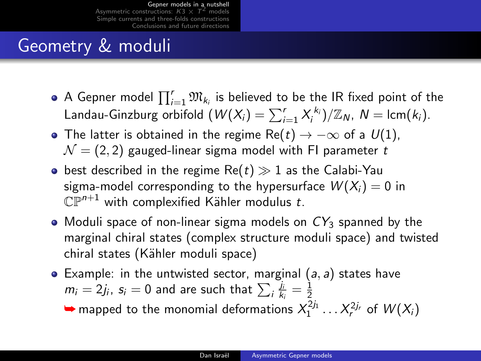# Geometry & moduli

- A Gepner model  $\prod_{i=1}^r \mathfrak{M}_{k_i}$  is believed to be the IR fixed point of the Landau-Ginzburg orbifold  $(W(X_i) = \sum_{i=1}^r X_i^{k_i})/\mathbb{Z}_N$ ,  $N = \text{lcm}(k_i)$ .
- The latter is obtained in the regime Re(t)  $\rightarrow -\infty$  of a  $U(1)$ ,  $\mathcal{N} = (2, 2)$  gauged-linear sigma model with FI parameter t
- **•** best described in the regime  $Re(t) \gg 1$  as the Calabi-Yau sigma-model corresponding to the hypersurface  $W(X_i) = 0$  in  $\mathbb{CP}^{n+1}$  with complexified Kähler modulus t.
- Moduli space of non-linear sigma models on  $CY_3$  spanned by the marginal chiral states (complex structure moduli space) and twisted chiral states (Kähler moduli space)
- Example: in the untwisted sector, marginal  $(a, a)$  states have  $m_i=2j_i$ ,  $s_i=0$  and are such that  $\sum_i\frac{\dot{J}_i}{k_i}=\frac{1}{2}$

 $\blacktriangleright$  mapped to the monomial deformations  $X_1^{2j_1} \dots X_r^{2j_r}$  of  $W(X_i)$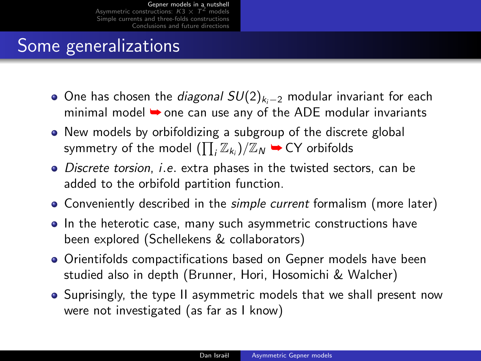# Some generalizations

- $\bullet$  One has chosen the *diagonal SU*(2)<sub>ki−2</sub> modular invariant for each minimal model  $\rightarrow$  one can use any of the ADE modular invariants
- New models by orbifoldizing a subgroup of the discrete global symmetry of the model  $(\prod_i \mathbb{Z}_{k_i})/\mathbb{Z}_N \rightarrow \text{CY}$  orbifolds
- Discrete torsion, *i.e.* extra phases in the twisted sectors, can be added to the orbifold partition function.
- Conveniently described in the simple current formalism (more later)
- In the heterotic case, many such asymmetric constructions have been explored (Schellekens & collaborators)
- Orientifolds compactifications based on Gepner models have been studied also in depth (Brunner, Hori, Hosomichi & Walcher)
- Suprisingly, the type II asymmetric models that we shall present now were not investigated (as far as I know)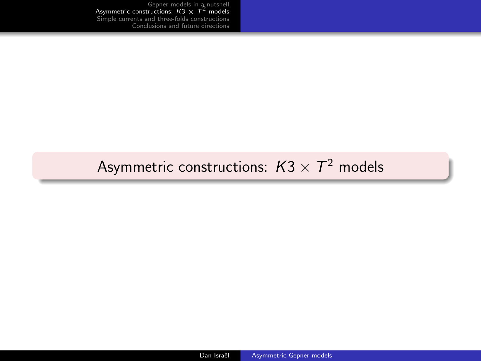### <span id="page-9-0"></span>[Asymmetric constructions:](#page-9-0)  $\textit{K3}\times \textit{T}^\text{2}$  models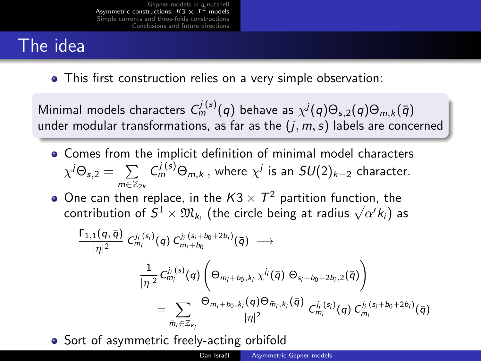# The idea

This first construction relies on a very simple observation:

Minimal models characters  $C_m^{j\, (s)}(q)$  behave as  $\chi^j(q)\Theta_{s,2}(q)\Theta_{m,k}(\bar{q})$ under modular transformations, as far as the  $(j, m, s)$  labels are concerned

- Comes from the implicit definition of minimal model characters  $\chi^j \Theta_{s,2} = \sum \; \; C^{j \, (s)}_m \Theta_{m,k} \, ,$  where  $\chi^j$  is an  $SU(2)_{k-2}$  character.  $m \in \mathbb{Z}_{2k}$
- One can then replace, in the  $K3 \times T^2$  partition function, the One can then replace, in the  $K3 \times T$  partition function, the contribution of  $S^1 \times \mathfrak{M}_{k_i}$  (the circle being at radius  $\sqrt{\alpha' k_i}$ ) as

$$
\begin{aligned} \frac{\Gamma_{1,1}(q,\bar{q})}{|\eta|^2} \ C^{j_i\,(s_i)}_{m_i}(q) \ C^{j_i\,(s_i+b_0+2b_i)}_{m_i+b_0}(\bar{q}) \; \longrightarrow \\ & \frac{1}{|\eta|^2} C^{j_i\,(s)}_{m_i}(q) \left( \Theta_{m_i+b_0,k_i}\ \chi^{j_i}(\bar{q}) \ \Theta_{s_i+b_0+2b_i,2}(\bar{q}) \right) \\ & = \sum_{\bar{m}_i \in \mathbb{Z}_{k_i}} \frac{\Theta_{m_i+b_0,k_i}(q) \Theta_{\bar{m}_i,k_i}(\bar{q})}{|\eta|^2} \ C^{j_i\,(s_i)}_{m_i}(q) \ C^{j_i\,(s_i+b_0+2b_i)}_{\bar{m}_i}(\bar{q}) \end{aligned}
$$

• Sort of asymmetric freely-acting orbifold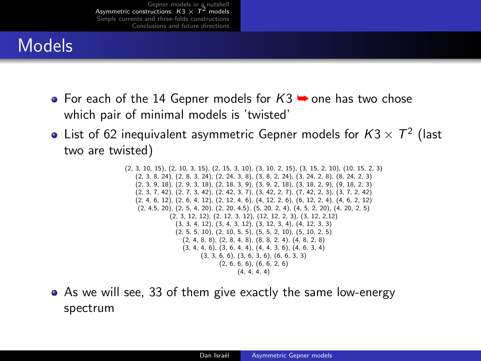# Models

- For each of the 14 Gepner models for  $K3 \rightarrow$  one has two chose which pair of minimal models is 'twisted'
- List of 62 inequivalent asymmetric Gepner models for  $\mathcal{K}3\times \mathcal{T}^2$  (last two are twisted)

(2, 3, 10, 15), (2, 10, 3, 15), (2, 15, 3, 10), (3, 10, 2, 15), (3, 15, 2, 10), (10, 15, 2, 3) (2, 3, 8, 24), (2, 8, 3, 24), (2, 24, 3, 8), (3, 8, 2, 24), (3, 24, 2, 8), (8, 24, 2, 3) (2, 3, 9, 18), (2, 9, 3, 18), (2, 18, 3, 9), (3, 9, 2, 18), (3, 18, 2, 9), (9, 18, 2, 3) (2, 3, 7, 42), (2, 7, 3, 42), (2, 42, 3, 7), (3, 42, 2, 7), (7, 42, 2, 3), (3, 7, 2, 42) (2, 4, 6, 12), (2, 6, 4, 12), (2, 12, 4, 6), (4, 12, 2, 6), (6, 12, 2, 4), (4, 6, 2, 12) (2, 4,5, 20), (2, 5, 4, 20), (2, 20, 4,5), (5, 20, 2, 4), (4, 5, 2, 20), (4, 20, 2, 5) (2, 3, 12, 12), (2, 12, 3, 12), (12, 12, 2, 3), (3, 12, 2,12) (3, 3, 4, 12), (3, 4, 3, 12), (3, 12, 3, 4), (4, 12, 3, 3)  $(2, 5, 5, 10)$ ,  $(2, 10, 5, 5)$ ,  $(5, 5, 2, 10)$ ,  $(5, 10, 2, 5)$ (2, 4, 8, 8), (2, 8, 4, 8), (8, 8, 2, 4), (4, 8, 2, 8)  $(3, 4, 4, 6), (3, 6, 4, 4), (4, 4, 3, 6), (4, 6, 3, 4)$ (3, 3, 6, 6), (3, 6, 3, 6), (6, 6, 3, 3)  $(2, 6, 6, 6)$ ,  $(6, 6, 2, 6)$  $(4, 4, 4, 4)$ 

As we will see, 33 of them give exactly the same low-energy spectrum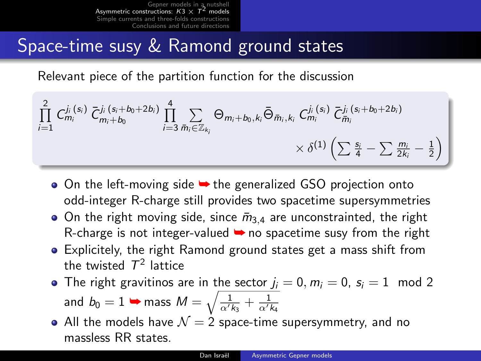## Space-time susy & Ramond ground states

Relevant piece of the partition function for the discussion

$$
\prod_{i=1}^{2} C_{m_i}^{j_i(s_i)} \bar{C}_{m_i+b_0}^{j_i(s_i+b_0+2b_i)} \prod_{i=3}^{4} \sum_{\bar{m}_i \in \mathbb{Z}_{k_i}} \Theta_{m_i+b_0,k_i} \bar{\Theta}_{\bar{m}_i,k_i} C_{m_i}^{j_i(s_i)} \bar{C}_{\bar{m}_i}^{i_i(s_i+b_0+2b_i)} \\ \times \delta^{(1)} \left( \sum \frac{s_i}{4} - \sum \frac{m_i}{2k_i} - \frac{1}{2} \right)
$$

- On the left-moving side **→** the generalized GSO projection onto odd-integer R-charge still provides two spacetime supersymmetries
- On the right moving side, since  $\bar{m}_{3,4}$  are unconstrainted, the right R-charge is not integer-valued  $\rightarrow$  no spacetime susy from the right
- Explicitely, the right Ramond ground states get a mass shift from the twisted  $\mathcal{T}^2$  lattice
- The right gravitinos are in the sector  $j_i = 0, m_i = 0, s_i = 1 \mod 2$ and  $b_0 = 1 \blacktriangleright$  mass  $M = \sqrt{\frac{1}{\alpha' k_3} + \frac{1}{\alpha' k_4}}$
- All the models have  $\mathcal{N} = 2$  space-time supersymmetry, and no massless RR states.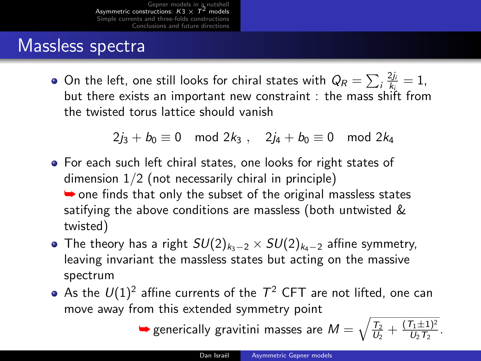### Massless spectra

On the left, one still looks for chiral states with  $Q_R = \sum_i \frac{2j_i}{k_i} = 1$ , but there exists an important new constraint : the mass shift from the twisted torus lattice should vanish

 $2j_3 + b_0 \equiv 0 \mod 2k_3$ ,  $2j_4 + b_0 \equiv 0 \mod 2k_4$ 

- For each such left chiral states, one looks for right states of dimension 1/2 (not necessarily chiral in principle)  $\rightarrow$  one finds that only the subset of the original massless states satifying the above conditions are massless (both untwisted & twisted)
- The theory has a right  $SU(2)_{k_3-2} \times SU(2)_{k_4-2}$  affine symmetry, leaving invariant the massless states but acting on the massive spectrum
- As the  $U(1)^2$  affine currents of the  $T^2$  CFT are not lifted, one can move away from this extended symmetry point

 $\blacktriangleright$  generically gravitini masses are  $M = \sqrt{\frac{T_2}{U_2} + \frac{(T_1 \pm 1)^2}{U_2 T_2}}$  $\frac{I_1 \pm 1)^2}{U_2 T_2}$ .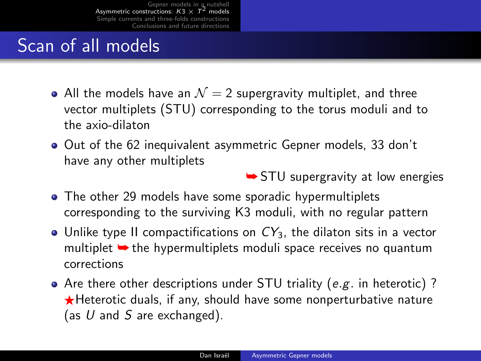# Scan of all models

- All the models have an  $\mathcal{N}=2$  supergravity multiplet, and three vector multiplets (STU) corresponding to the torus moduli and to the axio-dilaton
- Out of the 62 inequivalent asymmetric Gepner models, 33 don't have any other multiplets

**► STU** supergravity at low energies

- The other 29 models have some sporadic hypermultiplets corresponding to the surviving K3 moduli, with no regular pattern
- Unlike type II compactifications on  $CY_3$ , the dilaton sits in a vector multiplet  $\rightarrow$  the hypermultiplets moduli space receives no quantum corrections
- Are there other descriptions under STU triality (e.g. in heterotic) ?  $\bigstar$ Heterotic duals, if any, should have some nonperturbative nature (as  $U$  and  $S$  are exchanged).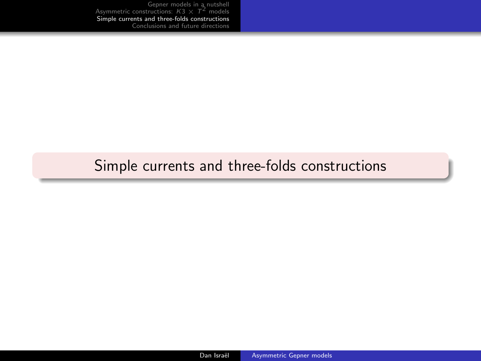### <span id="page-15-0"></span>[Simple currents and three-folds constructions](#page-15-0)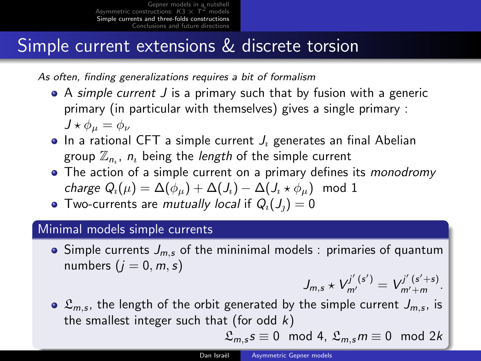## Simple current extensions & discrete torsion

As often, finding generalizations requires a bit of formalism

- A simple current J is a primary such that by fusion with a generic primary (in particular with themselves) gives a single primary :  $J \star \phi_{\mu} = \phi_{\nu}$
- $\bullet$  In a rational CFT a simple current  $J_i$  generates an final Abelian group  $\mathbb{Z}_{n_i}$ ,  $n_i$  being the *length* of the simple current
- The action of a simple current on a primary defines its *monodromy* charge  $Q_i(\mu) = \Delta(\phi_{ii}) + \Delta(J_i) - \Delta(J_i \star \phi_{ii})$  mod 1
- Two-currents are *mutually local* if  $Q_i(J_i) = 0$

#### Minimal models simple currents

• Simple currents  $J_{m,s}$  of the mininimal models : primaries of quantum numbers  $(i = 0, m, s)$ 

$$
J_{m,s}\star V_{m'}^{j'(s')}=V_{m'+m}^{j'(s'+s)}.
$$

 $\mathfrak{L}_{m,s}$ , the length of the orbit generated by the simple current  $J_{m,s}$ , is the smallest integer such that (for odd  $k$ )

$$
\mathfrak{L}_{m,s} s \equiv 0 \mod 4, \ \mathfrak{L}_{m,s} m \equiv 0 \mod 2k
$$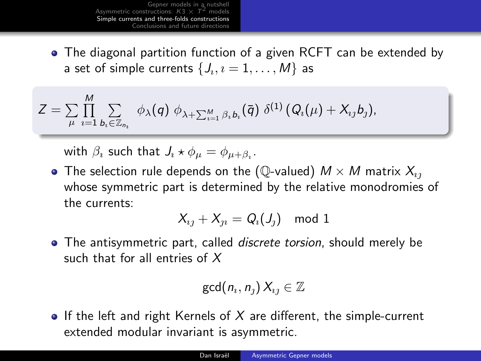The diagonal partition function of a given RCFT can be extended by a set of simple currents  $\{J_{\imath},\imath=1,\ldots,M\}$  as

$$
Z = \sum_{\mu} \prod_{i=1}^M \sum_{b_i \in \mathbb{Z}_{n_i}} \phi_{\lambda}(q) \phi_{\lambda + \sum_{i=1}^M \beta_i b_i}(\bar{q}) \delta^{(1)}(Q_i(\mu) + X_{ij}b_j),
$$

with  $\beta_i$  such that  $J_i \star \phi_\mu = \phi_{\mu+\beta_i}$ .

• The selection rule depends on the (Q-valued)  $M \times M$  matrix  $X_{ij}$ whose symmetric part is determined by the relative monodromies of the currents:

$$
X_{ij}+X_{ji}=Q_i(J_j) \mod 1
$$

• The antisymmetric part, called *discrete torsion*, should merely be such that for all entries of X

$$
\gcd(n_i, n_j) X_{ij} \in \mathbb{Z}
$$

• If the left and right Kernels of  $X$  are different, the simple-current extended modular invariant is asymmetric.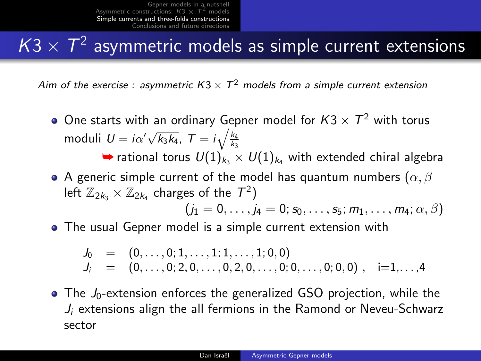# $\mathcal{K}3\times \mathcal{T}^2$  asymmetric models as simple current extensions

Aim of the exercise : asymmetric  $K3 \times T^2$  models from a simple current extension

- One starts with an ordinary Gepner model for  $K3 \times \mathcal{T}^2$  with torus moduli  $U = i\alpha' \sqrt{k_3 k_4}$ ,  $T = i\sqrt{\frac{k_4}{k_3}}$ interactional torus  $U(1)_{k_3} \times U(1)_{k_4}$  with extended chiral algebration
- A generic simple current of the model has quantum numbers ( $\alpha$ ,  $\beta$ ) left  $\mathbb{Z}_{2k_3}\times \mathbb{Z}_{2k_4}$  charges of the  $\mathcal{T}^2)$  $(j_1 = 0, \ldots, j_4 = 0; s_0, \ldots, s_5; m_1, \ldots, m_4; \alpha, \beta)$
- The usual Gepner model is a simple current extension with

$$
J_0 = (0, \ldots, 0; 1, \ldots, 1; 1, \ldots, 1; 0, 0)
$$
  
\n
$$
J_i = (0, \ldots, 0; 2, 0, \ldots, 0, 2, 0, \ldots, 0; 0, \ldots, 0; 0, 0), \quad i=1, \ldots, 4
$$

 $\bullet$  The  $J_0$ -extension enforces the generalized GSO projection, while the  $J_i$  extensions align the all fermions in the Ramond or Neveu-Schwarz sector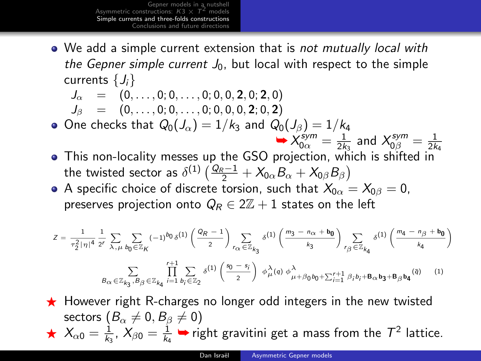• We add a simple current extension that is not mutually local with the Gepner simple current  $J_0$ , but local with respect to the simple currents  $\{J_i\}$ 

$$
J_{\alpha} \quad = \quad \left(0,\ldots,0;0,\ldots,0;0,0,2,0;2,0\right)
$$

$$
J_{\beta} = (0, \ldots, 0; 0, \ldots, 0; 0, 0, 0, 2; 0, 2)
$$

- $\bullet$  One checks that  $Q_0(J_\alpha)=1/k_3$  and  $Q_0(J_\beta)=1/k_4$  $\times \chi_{0\alpha}^{sym} = \frac{1}{2k_3}$  and  $\chi_{0\beta}^{sym} = \frac{1}{2k_4}$
- This non-locality messes up the GSO projection, which is shifted in the twisted sector as  $\delta^{(1)}\left(\frac{Q_R-1}{2} + \mathcal{X}_{0\alpha}B_\alpha + \mathcal{X}_{0\beta}B_\beta \right)$
- A specific choice of discrete torsion, such that  $X_{0\alpha} = X_{0\beta} = 0$ , preserves projection onto  $Q_R \in 2\mathbb{Z}+1$  states on the left

$$
Z=\frac{1}{\tau_2^2\,|\,\eta|^4}\,\frac{1}{2^r}\,\sum_{\lambda\,,\,\mu}\sum_{b_0\,\in\,\mathbb Z_K}(-1)^{b_0}\,\delta^{(1)}\left(\frac{\alpha_R-1}{2}\right)\sum_{r_{\text{CL}}\,\in\,\mathbb Z_{k_3}}\,\delta^{(1)}\left(\frac{m_3-n_{\text{CL}}+b_0}{k_3}\right)\sum_{r_{\beta}\,\in\,\mathbb Z_{k_4}}\,\delta^{(1)}\left(\frac{m_4-n_{\beta}+b_0}{k_4}\right)
$$

$$
\sum_{\mathcal{B}_{\alpha} \in \mathbb{Z}_{k_3}, \mathcal{B}_{\beta} \in \mathbb{Z}_{k_4}} \prod_{i=1}^{r+1} \sum_{b_i \in \mathbb{Z}_2} \delta^{(1)}\left(\frac{s_0 - s_i}{2}\right) \; \phi^{\lambda}_{\mu}(q) \; \phi^{\lambda}_{\mu + \beta_0 b_0 + \sum_{i=1}^{r+1} \beta_i b_i + \mathbf{B}_{\alpha} b_3 + \mathbf{B}_{\beta} b_4}(\bar{q}) \qquad (1)
$$

 $\star$  However right R-charges no longer odd integers in the new twisted sectors  $(B_{\alpha} \neq 0, B_{\beta} \neq 0)$  $\star$   $X_{\alpha 0} = \frac{1}{k_3}$ ,  $X_{\beta 0} = \frac{1}{k_4}$   $\bullet$  right gravitini get a mass from the  $T^2$  lattice.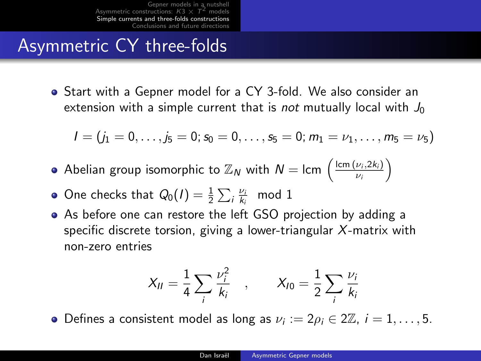## Asymmetric CY three-folds

Start with a Gepner model for a CY 3-fold. We also consider an extension with a simple current that is *not* mutually local with  $J_0$ 

$$
I=(j_1=0,\ldots,j_5=0;\,s_0=0,\ldots,s_5=0;\,m_1=\nu_1,\ldots,m_5=\nu_5)
$$

- Abelian group isomorphic to  $\mathbb{Z}_N$  with  $N=$  lcm  $\left(\frac{\text{lcm }(\nu_i,2k_i)}{\nu_i}\right)$  $\frac{\nu_i, 2k_i)}{\nu_i}$
- One checks that  $Q_0(I) = \frac{1}{2} \sum_i \frac{\nu_i}{k_i}$  mod 1
- As before one can restore the left GSO projection by adding a specific discrete torsion, giving a lower-triangular X-matrix with non-zero entries

$$
X_{II} = \frac{1}{4} \sum_{i} \frac{\nu_i^2}{k_i}
$$
,  $X_{I0} = \frac{1}{2} \sum_{i} \frac{\nu_i}{k_i}$ 

Defines a consistent model as long as  $\nu_i := 2\rho_i \in 2\mathbb{Z}$ ,  $i = 1, \ldots, 5$ .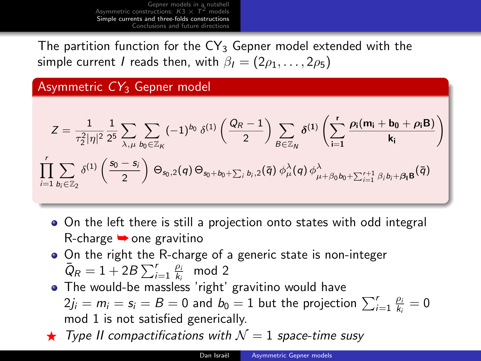The partition function for the  $CY<sub>3</sub>$  Gepner model extended with the simple current *I* reads then, with  $\beta_1 = (2\rho_1, \dots, 2\rho_5)$ 

Asymmetric  $CY<sub>3</sub>$  Gepner model

$$
Z = \frac{1}{\tau_2^2 |\eta|^2} \frac{1}{2^5} \sum_{\lambda,\mu} \sum_{b_0 \in \mathbb{Z}_K} (-1)^{b_0} \delta^{(1)}\left(\frac{Q_R - 1}{2}\right) \sum_{B \in \mathbb{Z}_N} \delta^{(1)}\left(\sum_{i=1}^r \frac{\rho_i(m_i + b_0 + \rho_i B)}{k_i}\right)
$$
  

$$
\prod_{i=1}^r \sum_{b_i \in \mathbb{Z}_2} \delta^{(1)}\left(\frac{s_0 - s_i}{2}\right) \Theta_{s_0,2}(q) \Theta_{s_0 + b_0 + \sum_i b_i,2}(\overline{q}) \phi_\mu^\lambda(q) \phi_{\mu + \beta_0 b_0 + \sum_{i=1}^{r+1} \beta_i b_i + \beta_i B}(\overline{q})
$$

- On the left there is still a projection onto states with odd integral R-charge  $\rightarrow$  one gravitino
- On the right the R-charge of a generic state is non-integer  $\overline{Q}_R = 1 + 2B \sum_{i=1}^r \frac{\rho_i}{k_i} \mod 2$
- The would-be massless 'right' gravitino would have  $2j_i = m_i = s_i = B = 0$  and  $b_0 = 1$  but the projection  $\sum_{i=1}^{r} \frac{\rho_i}{k_i} = 0$ mod 1 is not satisfied generically.
- $\star$  Type II compactifications with  $\mathcal{N}=1$  space-time susy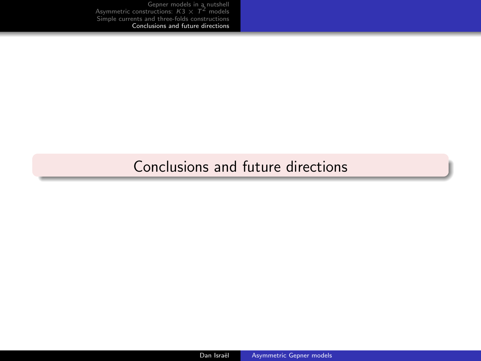### <span id="page-22-0"></span>[Conclusions and future directions](#page-22-0)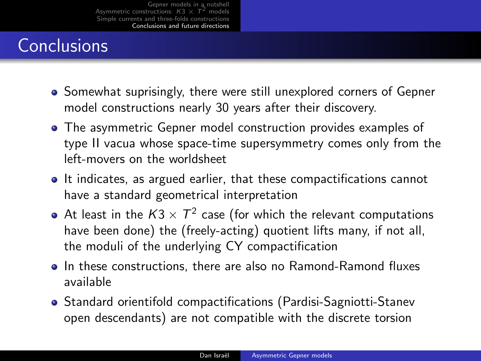# **Conclusions**

- Somewhat suprisingly, there were still unexplored corners of Gepner model constructions nearly 30 years after their discovery.
- The asymmetric Gepner model construction provides examples of type II vacua whose space-time supersymmetry comes only from the left-movers on the worldsheet
- It indicates, as argued earlier, that these compactifications cannot have a standard geometrical interpretation
- At least in the  $K3\times 7^2$  case (for which the relevant computations have been done) the (freely-acting) quotient lifts many, if not all, the moduli of the underlying CY compactification
- In these constructions, there are also no Ramond-Ramond fluxes available
- Standard orientifold compactifications (Pardisi-Sagniotti-Stanev open descendants) are not compatible with the discrete torsion